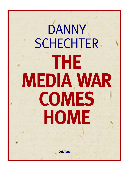# DANNY **SCHECHTER THE MEDIA WAR COMES HOME**

**ColdType**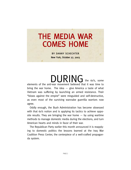## THE MEDIA WAR COMES HOME

BY DANNY SCHECHTER New York, October 27, 2003

DURING the 60's, some elements of the anti-war movement believed that it was time to bring the war home. The idea  $-$  give America a taste of what Vietnam was suffering by launching an armed resistance. Their "blows against the empire" were misguided and self-destructive, as even most of the surviving wannabe guerrilla warriors now agree.

Oddly enough, the Bush Administration has become obsessed with that 60's notion and is applying its tactics to achieve opposite results. They are bringing the war home  $-$  by using wartime methods to manage domestic media during the elections, and turn American hearts and minds in favor of their war.

The Republican Party earlier this month announced it is reapplying to domestic politics the lessons learned at the Iraq War Coalition Press Center, the centerpiece of a well-crafted propaganda system.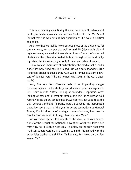### DANNY SCHECHTER

This is not entirely new. During the war, corporate PR veteran and Pentagon media spokesperson Victoria Clarke told The Wall Street Journal that she was running her operation as if it were a political campaign.

And now that we realize how specious most of the arguments for the war were, we can see that politics and PR (along with oil and regime change) were what it was about. It wasn't much of an armed clash since the other side folded its tent through bribes and bullying when the invasion began, only to reappear when it ended.

Clarke was so impressive at orchestrating the media that a media outlet has now hired her. She joined CNN as a correspondent. (The Pentagon briefer-in-chief during Gulf War I, former assistant secretary of defense Pete Williams, joined NBC News in the war's aftermath.)

Now, The New York Observer tells of an impending merger between military media strategy and domestic news management. Ben Smith reports: "We're looking at embedding reporters, we're looking at new and interesting camera angles," Jim Wilkinson said recently in the quick, confidential drawl reporters got used to at the U.S. Central Command in Doha, Qatar. But while the Republican operative spent much of the year in desert camouflage as General Tommy Franks' director of strategic communications, he's now in Brooks Brothers mufti in foreign territory, New York."

Mr. Wilkinson started last month as the director of communications for the Republican National Convention, which will take place from Aug. 30 to Sept. 2 next year. His office, on the 18th floor over Madison Square Garden, is, according to Smith, "furnished with the essentials: leather-bound Bible, Yankee cap, Fox News on the flatscreen TV."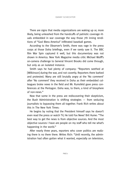There are signs that media organizations are waking up or, more likely, being unleashed from the handcuffs of patriotic coverage rituals embedded in war coverage the way those 7th inning renditions of "God Bless America" infiltrated baseball games.

According to the Observer's Smith, there was rage in the press corps at those Doha briefings, even if we rarely saw it. The BBC film War Spin captured it well, but this documentary was not shown in America. New York Magazine media critic Michael Wolff's on-camera challenge to General Vincent Brooks did come through, but only as an isolated instance.

Smith says he had plenty of company: "Reporters seethed at [Wilkinson] during the war, and not covertly. Reporters there barked and protested. Many are still brutally angry at the 'No comment' after 'No comment' they received in Doha as their embedded colleagues broke news in the field and Mr. Rumsfeld gave press conferences at the Pentagon. Doha was, to them, a kind of biosphere of non-news."

Now that some in the press are rediscovering their skepticism, the Bush Administration is shifting strategies  $-$  from seducing journalists to bypassing them all together. Frank Rich writes about this in The New York Times:

He begins by noting that the President himself says he doesn't even read the press or watch TV, He told Fox News' Brit Hume: "The best way to get the news is from objective sources. And the most objective sources I have are people on my staff who tell me what's happening in the world."

After nearly three years, reporters who cover politics are realizing there is no there there. Writes Rich: "Until recently, the administration had often gotten what it wanted, especially on television,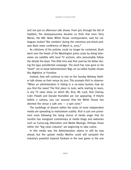#### DANNY SCHECHTER

and not just on afternoon talk shows. From 9/11 through the fall of Saddam, the obsequiousness became so thick that even Terry Moran, the ABC News White House correspondent, said his colleagues looked 'like zombies' during the notorious pre-shock-andawe Bush news conference of March 6, 2003."

As criticisms of his policies could no longer be contained, Bush went over the heads of the Washington press corps by doing interviews via satellite with local TV anchors, who presumably follow the details the least. This little trick was first used by his father during the l992 presidential campaign. The word has now gone to his "team" not to book Administration Bigs on so-called hostile shows like Nightline or Frontline.

Instead, they will continue to rely on the Sunday Beltway blather talk shows as their venue du jour. This prompts Rich to observe: "When an administration is hiding in a no-news bunker, how do you find the news? The first place to look, we're starting to learn, is any TV news show on which Ms. Rice, Mr. Card, Dick Cheney, Colin Powell and Donald Rumsfeld are not appearing. If they're before a camera, you can assume that the White House has deemed the venue a safe one  $-$  a spin zone."

The rumblings of dissent within the ranks of more independent media are spreading to mainstream outlets. Rich is just one prominent voice following the rising chorus of media anger that for months has energized commentary at media blogs and webzines such as Cursor.org, Altercation and Media Musings. Perhaps those within the "big news industry" are beginning to take notice.

In this media war, the Administration seems to still be way ahead, but the upstart media Marlins could still vanquish the industry's powerful imperial Yankees in the next game or the one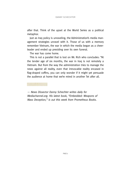after that. Think of the upset at the World Series as a political metaphor.

Just as Iraq policy is unraveling, the Administration's media management strategies unravel with it. Those of us with a memory remember Vietnam, the war in which the media began as a cheerleader and ended up presiding over its own funeral.

The war has come home.

This is not a parallel that is lost on Mr. Rich who concludes: "At the tender age of six months, the war in Iraq is not remotely a Vietnam. But from the way the administration tries to manage the news against all reality, even that irrevocable reality encased in flag-draped coffins, you can only wonder if it might yet persuade the audience at home that we're mired in another Tet after all.

— News Dissector Danny Schechter writes daily for Mediachannel.org. His latest book, "Embedded: Weapons of Mass Deception," is out this week from Prometheus Books.